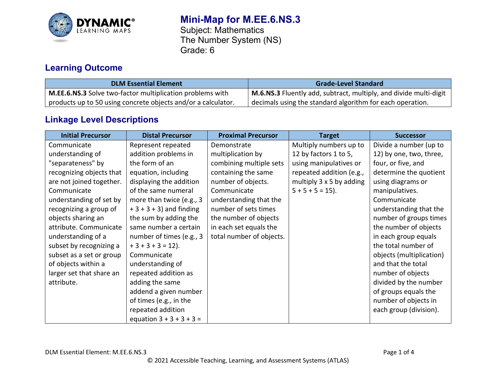

# **Mini-Map for M.EE.6.NS.3**

Subject: Mathematics The Number System (NS) Grade: 6

## **Learning Outcome**

| <b>DLM Essential Element</b>                                  | <b>Grade-Level Standard</b>                                       |
|---------------------------------------------------------------|-------------------------------------------------------------------|
| M.EE.6.NS.3 Solve two-factor multiplication problems with     | M.6.NS.3 Fluently add, subtract, multiply, and divide multi-digit |
| products up to 50 using concrete objects and/or a calculator. | decimals using the standard algorithm for each operation.         |

## **Linkage Level Descriptions**

| <b>Initial Precursor</b> | <b>Distal Precursor</b>    | <b>Proximal Precursor</b> | <b>Target</b>            | <b>Successor</b>         |
|--------------------------|----------------------------|---------------------------|--------------------------|--------------------------|
| Communicate              | Represent repeated         | Demonstrate               | Multiply numbers up to   | Divide a number (up to   |
| understanding of         | addition problems in       | multiplication by         | 12 by factors 1 to 5,    | 12) by one, two, three,  |
| "separateness" by        | the form of an             | combining multiple sets   | using manipulatives or   | four, or five, and       |
| recognizing objects that | equation, including        | containing the same       | repeated addition (e.g., | determine the quotient   |
| are not joined together. | displaying the addition    | number of objects.        | multiply 3 x 5 by adding | using diagrams or        |
| Communicate              | of the same numeral        | Communicate               | $5 + 5 + 5 = 15$ .       | manipulatives.           |
| understanding of set by  | more than twice (e.g., 3   | understanding that the    |                          | Communicate              |
| recognizing a group of   | $+3+3+3$ ) and finding     | number of sets times      |                          | understanding that the   |
| objects sharing an       | the sum by adding the      | the number of objects     |                          | number of groups times   |
| attribute. Communicate   | same number a certain      | in each set equals the    |                          | the number of objects    |
| understanding of a       | number of times (e.g., 3   | total number of objects.  |                          | in each group equals     |
| subset by recognizing a  | $+3+3+3=12$ ).             |                           |                          | the total number of      |
| subset as a set or group | Communicate                |                           |                          | objects (multiplication) |
| of objects within a      | understanding of           |                           |                          | and that the total       |
| larger set that share an | repeated addition as       |                           |                          | number of objects        |
| attribute.               | adding the same            |                           |                          | divided by the number    |
|                          | addend a given number      |                           |                          | of groups equals the     |
|                          | of times (e.g., in the     |                           |                          | number of objects in     |
|                          | repeated addition          |                           |                          | each group (division).   |
|                          | equation $3 + 3 + 3 + 3 =$ |                           |                          |                          |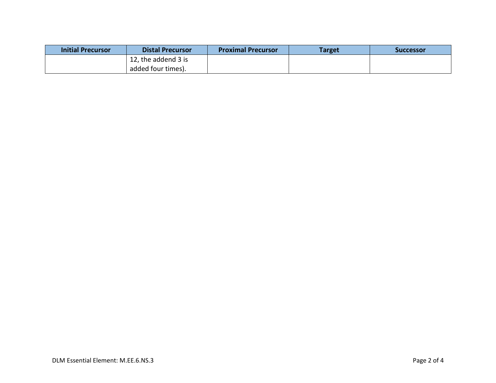| <b>Initial Precursor</b> | <b>Distal Precursor</b> | <b>Proximal Precursor</b> | Target | Successor |
|--------------------------|-------------------------|---------------------------|--------|-----------|
|                          | 12, the addend 3 is     |                           |        |           |
|                          | added four times).      |                           |        |           |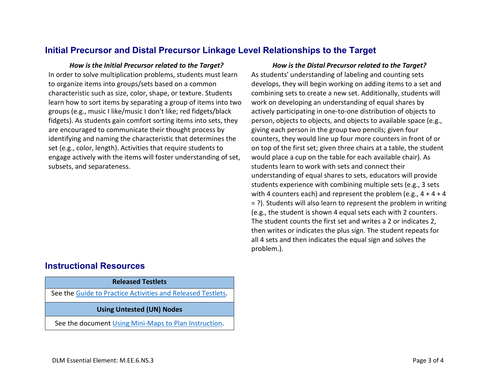### **Initial Precursor and Distal Precursor Linkage Level Relationships to the Target**

In order to solve multiplication problems, students must learn to organize items into groups/sets based on a common characteristic such as size, color, shape, or texture. Students learn how to sort items by separating a group of items into two groups (e.g., music I like/music I don't like; red fidgets/black fidgets). As students gain comfort sorting items into sets, they are encouraged to communicate their thought process by identifying and naming the characteristic that determines the set (e.g., color, length). Activities that require students to engage actively with the items will foster understanding of set, subsets, and separateness.

#### *How is the Initial Precursor related to the Target? How is the Distal Precursor related to the Target?* As students' understanding of labeling and counting sets develops, they will begin working on adding items to a set and combining sets to create a new set. Additionally, students will work on developing an understanding of equal shares by actively participating in one-to-one distribution of objects to person, objects to objects, and objects to available space (e.g., giving each person in the group two pencils; given four counters, they would line up four more counters in front of or on top of the first set; given three chairs at a table, the student would place a cup on the table for each available chair). As students learn to work with sets and connect their understanding of equal shares to sets, educators will provide students experience with combining multiple sets (e.g., 3 sets with 4 counters each) and represent the problem (e.g.,  $4 + 4 + 4$ = ?). Students will also learn to represent the problem in writing (e.g., the student is shown 4 equal sets each with 2 counters. The student counts the first set and writes a 2 or indicates 2, then writes or indicates the plus sign. The student repeats for all 4 sets and then indicates the equal sign and solves the problem.).

#### **Instructional Resources**

### **Released Testlets**

See the [Guide to Practice Activities and Released Testlets.](https://dynamiclearningmaps.org/sites/default/files/documents/Manuals_Blueprints/Guide_to_Practice_Activities_and_Released_Testlets.pdf)

**Using Untested (UN) Nodes**

See the document [Using Mini-Maps to Plan Instruction.](https://dynamiclearningmaps.org/sites/default/files/documents/Using_Mini_Maps_to_Plan_Instruction.pdf)